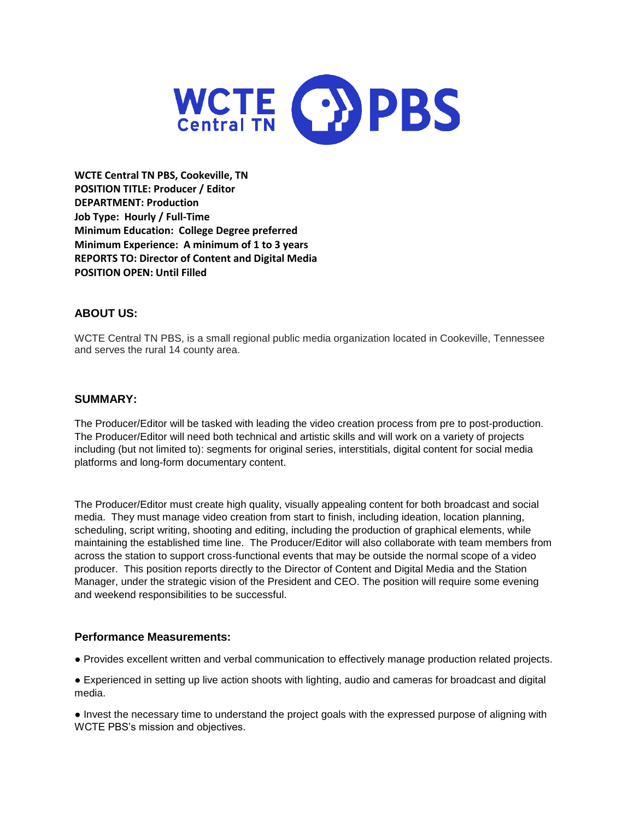

**WCTE Central TN PBS, Cookeville, TN POSITION TITLE: Producer / Editor DEPARTMENT: Production Job Type: Hourly / Full-Time Minimum Education: College Degree preferred Minimum Experience: A minimum of 1 to 3 years REPORTS TO: Director of Content and Digital Media POSITION OPEN: Until Filled**

# **ABOUT US:**

WCTE Central TN PBS, is a small regional public media organization located in Cookeville, Tennessee and serves the rural 14 county area.

## **SUMMARY:**

The Producer/Editor will be tasked with leading the video creation process from pre to post-production. The Producer/Editor will need both technical and artistic skills and will work on a variety of projects including (but not limited to): segments for original series, interstitials, digital content for social media platforms and long-form documentary content.

The Producer/Editor must create high quality, visually appealing content for both broadcast and social media. They must manage video creation from start to finish, including ideation, location planning, scheduling, script writing, shooting and editing, including the production of graphical elements, while maintaining the established time line. The Producer/Editor will also collaborate with team members from across the station to support cross-functional events that may be outside the normal scope of a video producer. This position reports directly to the Director of Content and Digital Media and the Station Manager, under the strategic vision of the President and CEO. The position will require some evening and weekend responsibilities to be successful.

### **Performance Measurements:**

● Provides excellent written and verbal communication to effectively manage production related projects.

● Experienced in setting up live action shoots with lighting, audio and cameras for broadcast and digital media.

● Invest the necessary time to understand the project goals with the expressed purpose of aligning with WCTE PBS's mission and objectives.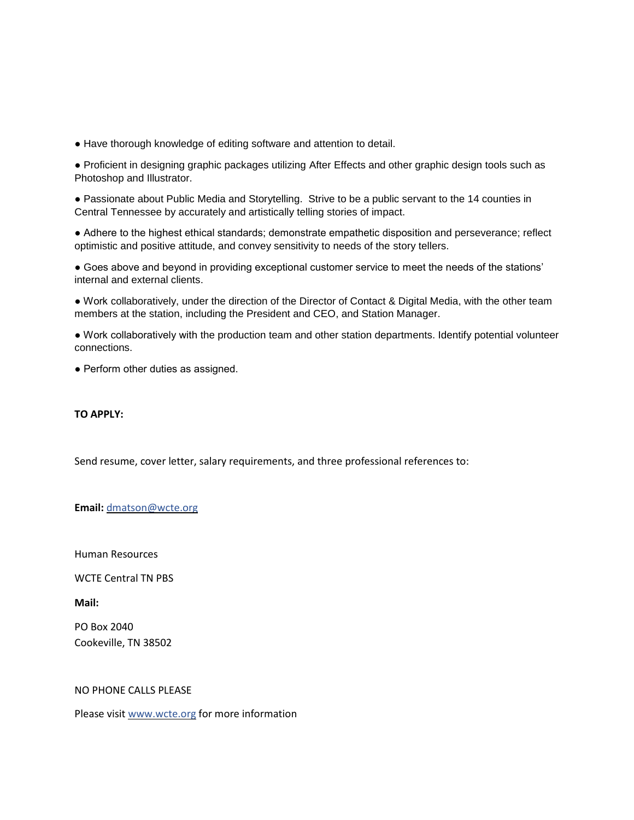● Have thorough knowledge of editing software and attention to detail.

● Proficient in designing graphic packages utilizing After Effects and other graphic design tools such as Photoshop and Illustrator.

● Passionate about Public Media and Storytelling. Strive to be a public servant to the 14 counties in Central Tennessee by accurately and artistically telling stories of impact.

● Adhere to the highest ethical standards; demonstrate empathetic disposition and perseverance; reflect optimistic and positive attitude, and convey sensitivity to needs of the story tellers.

● Goes above and beyond in providing exceptional customer service to meet the needs of the stations' internal and external clients.

● Work collaboratively, under the direction of the Director of Contact & Digital Media, with the other team members at the station, including the President and CEO, and Station Manager.

● Work collaboratively with the production team and other station departments. Identify potential volunteer connections.

• Perform other duties as assigned.

**TO APPLY:**

Send resume, cover letter, salary requirements, and three professional references to:

#### **Email:** [dmatson@wcte.org](javascript:void(0);)

Human Resources

WCTE Central TN PBS

**Mail:**

PO Box 2040 Cookeville, TN 38502

#### NO PHONE CALLS PLEASE

Please visi[t www.wcte.org](http://www.wcte.org/) for more information